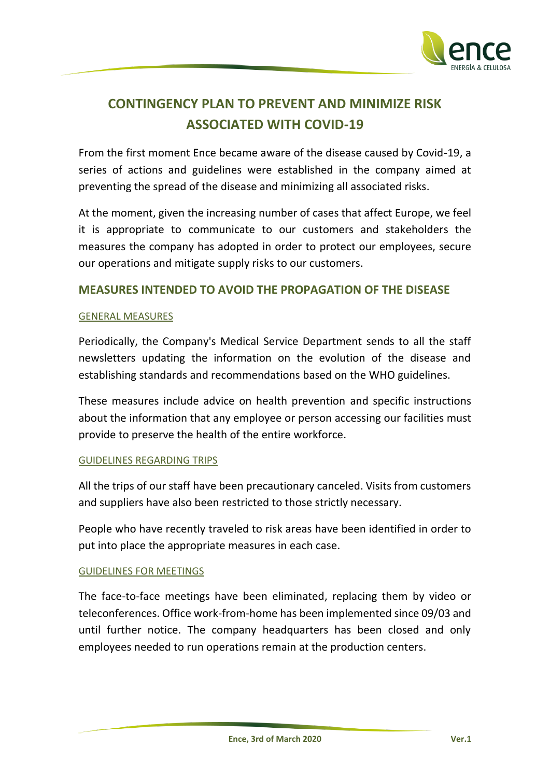

# **CONTINGENCY PLAN TO PREVENT AND MINIMIZE RISK ASSOCIATED WITH COVID-19**

From the first moment Ence became aware of the disease caused by Covid-19, a series of actions and guidelines were established in the company aimed at preventing the spread of the disease and minimizing all associated risks.

At the moment, given the increasing number of cases that affect Europe, we feel it is appropriate to communicate to our customers and stakeholders the measures the company has adopted in order to protect our employees, secure our operations and mitigate supply risks to our customers.

### **MEASURES INTENDED TO AVOID THE PROPAGATION OF THE DISEASE**

#### GENERAL MEASURES

Periodically, the Company's Medical Service Department sends to all the staff newsletters updating the information on the evolution of the disease and establishing standards and recommendations based on the WHO guidelines.

These measures include advice on health prevention and specific instructions about the information that any employee or person accessing our facilities must provide to preserve the health of the entire workforce.

#### GUIDELINES REGARDING TRIPS

All the trips of our staff have been precautionary canceled. Visits from customers and suppliers have also been restricted to those strictly necessary.

People who have recently traveled to risk areas have been identified in order to put into place the appropriate measures in each case.

#### GUIDELINES FOR MEETINGS

The face-to-face meetings have been eliminated, replacing them by video or teleconferences. Office work-from-home has been implemented since 09/03 and until further notice. The company headquarters has been closed and only employees needed to run operations remain at the production centers.